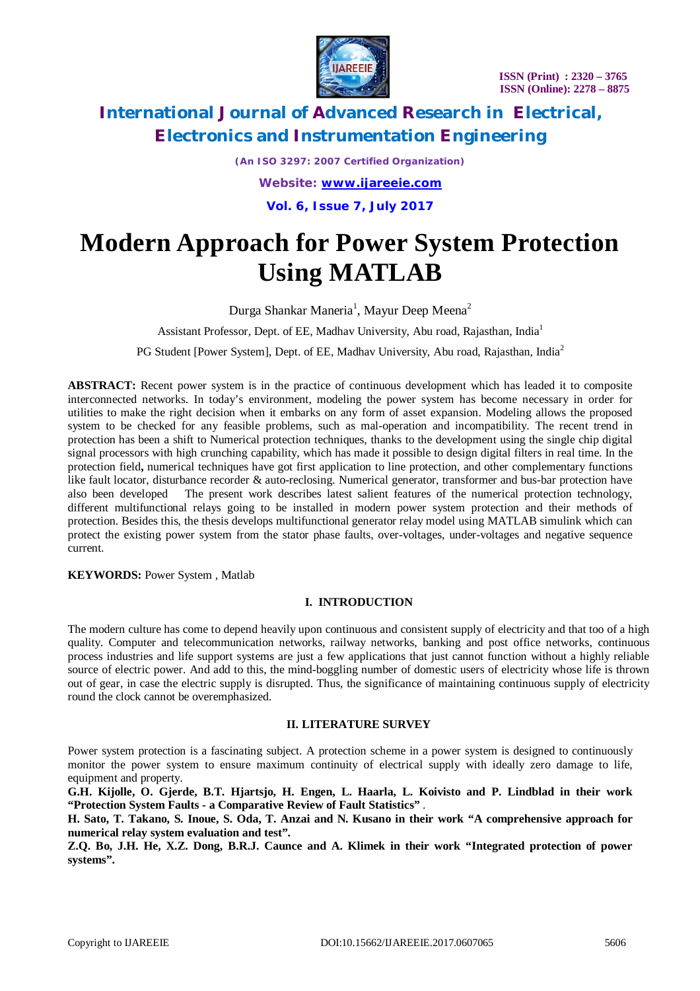

*(An ISO 3297: 2007 Certified Organization) Website: [www.ijareeie.com](http://www.ijareeie.com)* **Vol. 6, Issue 7, July 2017**

# **Modern Approach for Power System Protection Using MATLAB**

Durga Shankar Maneria $^1$ , Mayur Deep Meena $^2$ 

Assistant Professor, Dept. of EE, Madhav University, Abu road, Rajasthan, India<sup>1</sup>

PG Student [Power System], Dept. of EE, Madhav University, Abu road, Rajasthan, India<sup>2</sup>

**ABSTRACT:** Recent power system is in the practice of continuous development which has leaded it to composite interconnected networks. In today's environment, modeling the power system has become necessary in order for utilities to make the right decision when it embarks on any form of asset expansion. Modeling allows the proposed system to be checked for any feasible problems, such as mal-operation and incompatibility. The recent trend in protection has been a shift to Numerical protection techniques, thanks to the development using the single chip digital signal processors with high crunching capability, which has made it possible to design digital filters in real time. In the protection field**,** numerical techniques have got first application to line protection, and other complementary functions like fault locator, disturbance recorder & auto-reclosing. Numerical generator, transformer and bus-bar protection have also been developed The present work describes latest salient features of the numerical protection technology, different multifunctional relays going to be installed in modern power system protection and their methods of protection. Besides this, the thesis develops multifunctional generator relay model using MATLAB simulink which can protect the existing power system from the stator phase faults, over-voltages, under-voltages and negative sequence current.

**KEYWORDS: Power System , Matlab** 

### **I. INTRODUCTION**

The modern culture has come to depend heavily upon continuous and consistent supply of electricity and that too of a high quality. Computer and telecommunication networks, railway networks, banking and post office networks, continuous process industries and life support systems are just a few applications that just cannot function without a highly reliable source of electric power. And add to this, the mind-boggling number of domestic users of electricity whose life is thrown out of gear, in case the electric supply is disrupted. Thus, the significance of maintaining continuous supply of electricity round the clock cannot be overemphasized.

### **II. LITERATURE SURVEY**

Power system protection is a fascinating subject. A protection scheme in a power system is designed to continuously monitor the power system to ensure maximum continuity of electrical supply with ideally zero damage to life, equipment and property.

**G.H. Kijolle, O. Gjerde, B.T. Hjartsjo, H. Engen, L. Haarla, L. Koivisto and P. Lindblad in their work "Protection System Faults - a Comparative Review of Fault Statistics"** .

**H. Sato, T. Takano, S. Inoue, S. Oda, T. Anzai and N. Kusano in their work "A comprehensive approach for numerical relay system evaluation and test".**

**Z.Q. Bo, J.H. He, X.Z. Dong, B.R.J. Caunce and A. Klimek in their work "Integrated protection of power systems".**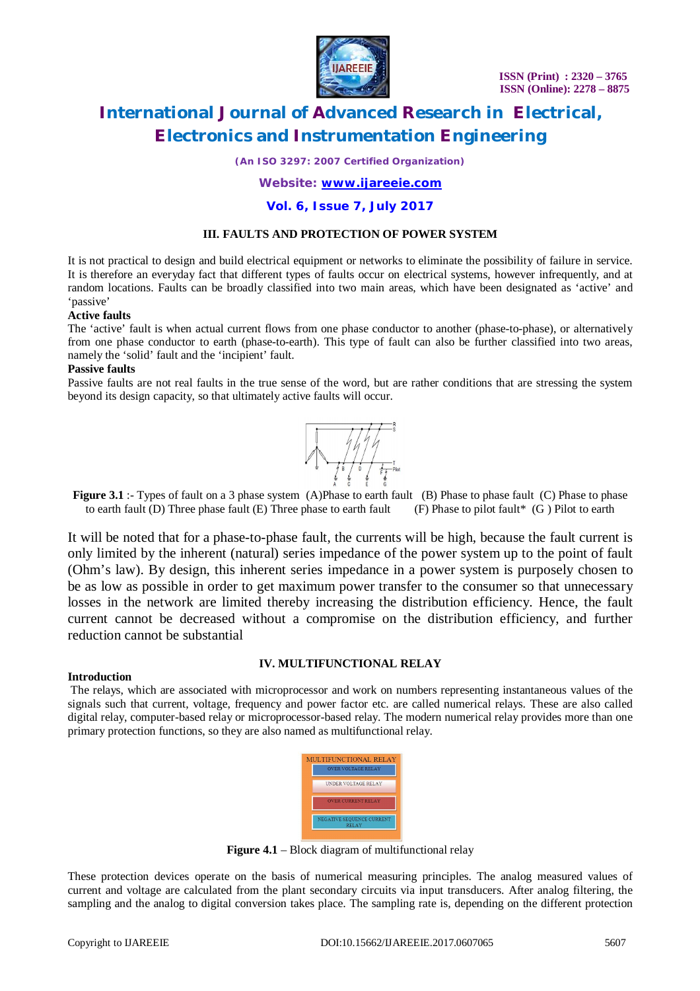

*(An ISO 3297: 2007 Certified Organization)*

*Website: [www.ijareeie.com](http://www.ijareeie.com)*

### **Vol. 6, Issue 7, July 2017**

### **III. FAULTS AND PROTECTION OF POWER SYSTEM**

It is not practical to design and build electrical equipment or networks to eliminate the possibility of failure in service. It is therefore an everyday fact that different types of faults occur on electrical systems, however infrequently, and at random locations. Faults can be broadly classified into two main areas, which have been designated as 'active' and 'passive'

### **Active faults**

The 'active' fault is when actual current flows from one phase conductor to another (phase-to-phase), or alternatively from one phase conductor to earth (phase-to-earth). This type of fault can also be further classified into two areas, namely the 'solid' fault and the 'incipient' fault.

### **Passive faults**

Passive faults are not real faults in the true sense of the word, but are rather conditions that are stressing the system beyond its design capacity, so that ultimately active faults will occur.



**Figure 3.1** :- Types of fault on a 3 phase system (A)Phase to earth fault (B) Phase to phase fault (C) Phase to phase to earth fault (D) Three phase fault (E) Three phase to earth fault (F) Phase to pilot fault\* (G ) Pilot to earth

It will be noted that for a phase-to-phase fault, the currents will be high, because the fault current is only limited by the inherent (natural) series impedance of the power system up to the point of fault (Ohm's law). By design, this inherent series impedance in a power system is purposely chosen to be as low as possible in order to get maximum power transfer to the consumer so that unnecessary losses in the network are limited thereby increasing the distribution efficiency. Hence, the fault current cannot be decreased without a compromise on the distribution efficiency, and further reduction cannot be substantial

### **IV. MULTIFUNCTIONAL RELAY**

### **Introduction**

The relays, which are associated with microprocessor and work on numbers representing instantaneous values of the signals such that current, voltage, frequency and power factor etc. are called numerical relays. These are also called digital relay, computer-based relay or microprocessor-based relay. The modern numerical relay provides more than one primary protection functions, so they are also named as multifunctional relay.



**Figure 4.1** – Block diagram of multifunctional relay

These protection devices operate on the basis of numerical measuring principles. The analog measured values of current and voltage are calculated from the plant secondary circuits via input transducers. After analog filtering, the sampling and the analog to digital conversion takes place. The sampling rate is, depending on the different protection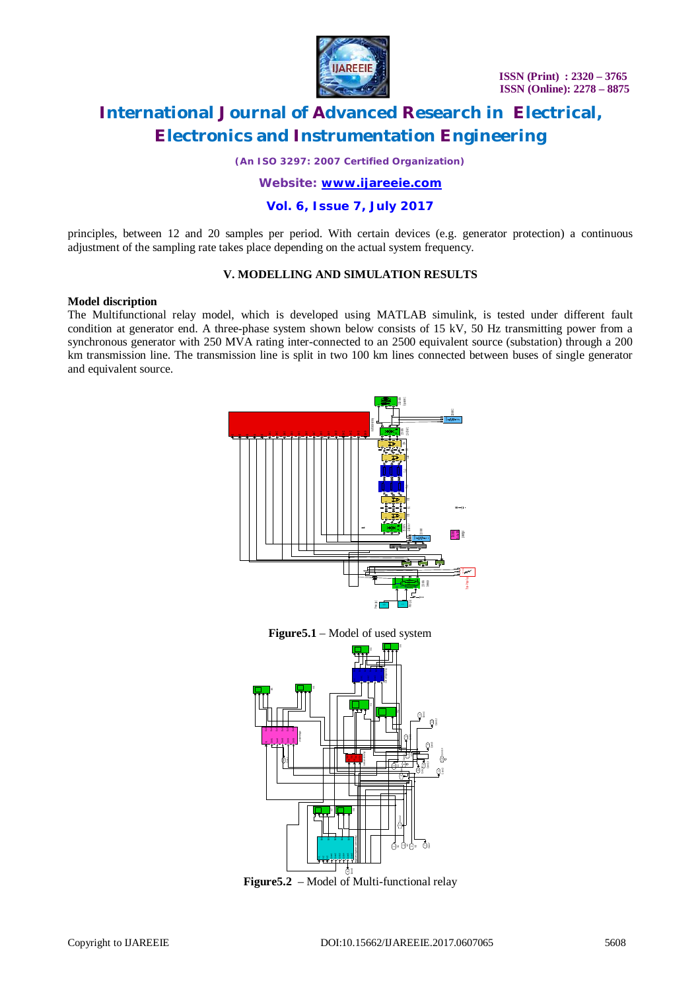

*(An ISO 3297: 2007 Certified Organization)*

*Website: [www.ijareeie.com](http://www.ijareeie.com)*

**Vol. 6, Issue 7, July 2017**

principles, between 12 and 20 samples per period. With certain devices (e.g. generator protection) a continuous adjustment of the sampling rate takes place depending on the actual system frequency.

### **V. MODELLING AND SIMULATION RESULTS**

### **Model discription**

The Multifunctional relay model, which is developed using MATLAB simulink, is tested under different fault condition at generator end. A three-phase system shown below consists of 15 kV, 50 Hz transmitting power from a synchronous generator with 250 MVA rating inter-connected to an 2500 equivalent source (substation) through a 200 km transmission line. The transmission line is split in two 100 km lines connected between buses of single generator and equivalent source.



**Figure5.1** – Model of used system



**Figure5.2** – Model of Multi-functional relay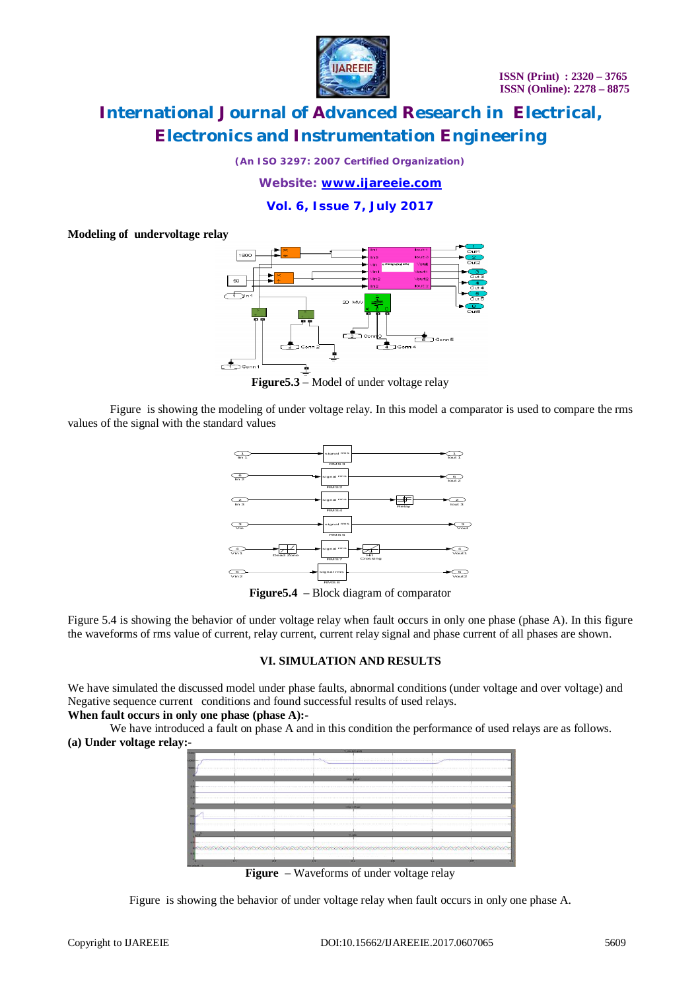

*(An ISO 3297: 2007 Certified Organization)*

*Website: [www.ijareeie.com](http://www.ijareeie.com)*

**Vol. 6, Issue 7, July 2017**

### **Modeling of undervoltage relay**



**Figure5.3** – Model of under voltage relay

Figure is showing the modeling of under voltage relay. In this model a comparator is used to compare the rms values of the signal with the standard values



**Figure5.4** – Block diagram of comparator

Figure 5.4 is showing the behavior of under voltage relay when fault occurs in only one phase (phase A). In this figure the waveforms of rms value of current, relay current, current relay signal and phase current of all phases are shown.

### **VI. SIMULATION AND RESULTS**

We have simulated the discussed model under phase faults, abnormal conditions (under voltage and over voltage) and Negative sequence current conditions and found successful results of used relays.

### **When fault occurs in only one phase (phase A):-**

We have introduced a fault on phase A and in this condition the performance of used relays are as follows. **(a) Under voltage relay:-**

| <b>IDOO</b>             | ----------- |                                                                                                                                                                                                                                 | A  A  A  1 8  A |                     |  |
|-------------------------|-------------|---------------------------------------------------------------------------------------------------------------------------------------------------------------------------------------------------------------------------------|-----------------|---------------------|--|
|                         |             | middle beginnt.                                                                                                                                                                                                                 |                 | <b>CONTRACTOR</b>   |  |
|                         |             |                                                                                                                                                                                                                                 |                 |                     |  |
|                         |             |                                                                                                                                                                                                                                 |                 |                     |  |
|                         |             | <b>Index volkedar</b>                                                                                                                                                                                                           |                 |                     |  |
|                         |             |                                                                                                                                                                                                                                 |                 |                     |  |
|                         |             |                                                                                                                                                                                                                                 |                 |                     |  |
| $-10$                   |             | <b>MAN</b>                                                                                                                                                                                                                      |                 |                     |  |
|                         |             |                                                                                                                                                                                                                                 |                 |                     |  |
|                         |             | $\sim$ . The contract of the contract of the contract of the contract of the contract of the contract of the contract of the contract of the contract of the contract of the contract of the contract of the contract of the co |                 |                     |  |
| $\overline{\mathbf{a}}$ | 0.2<br>×    | $n =$                                                                                                                                                                                                                           | 05              | <b>The Contract</b> |  |

**Figure** – Waveforms of under voltage relay

Figure is showing the behavior of under voltage relay when fault occurs in only one phase A.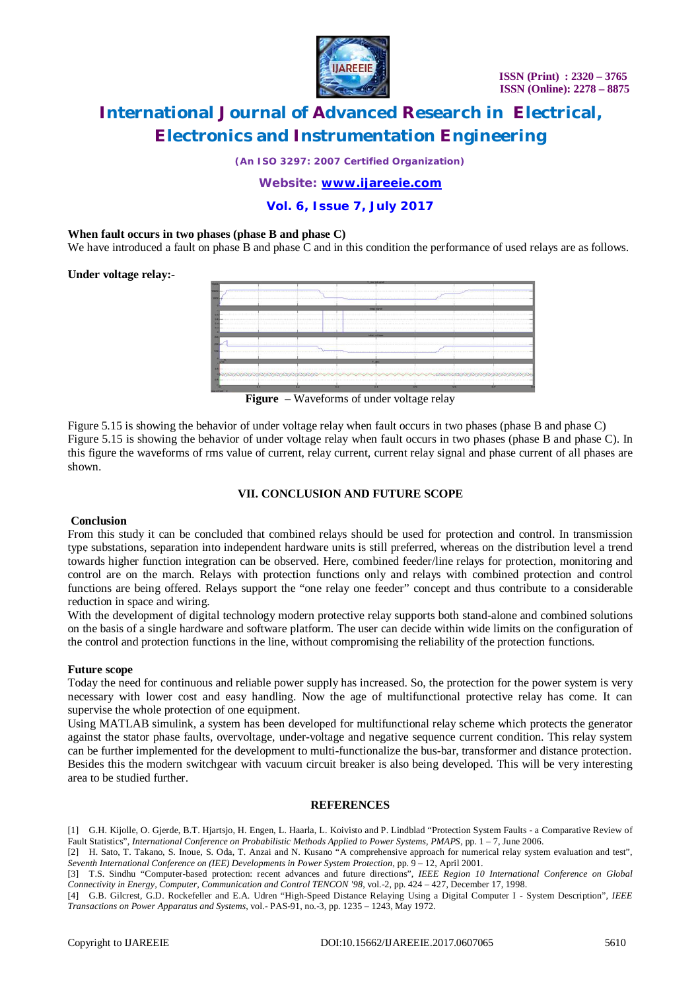

*(An ISO 3297: 2007 Certified Organization)*

*Website: [www.ijareeie.com](http://www.ijareeie.com)*

**Vol. 6, Issue 7, July 2017**

### **When fault occurs in two phases (phase B and phase C)**

We have introduced a fault on phase B and phase C and in this condition the performance of used relays are as follows.

**Under voltage relay:-**

|                |                                  | <b>W</b> since latin great |                   |  |
|----------------|----------------------------------|----------------------------|-------------------|--|
|                |                                  |                            |                   |  |
| <b>DOM</b>     | .                                |                            |                   |  |
|                |                                  |                            |                   |  |
|                |                                  |                            |                   |  |
|                |                                  | <b>HARACIOTAE</b>          |                   |  |
|                | ----------<br>------------------ |                            |                   |  |
| 54             |                                  |                            |                   |  |
|                | <br><b>.</b>                     |                            |                   |  |
|                |                                  | <b>Industrial Asian</b>    |                   |  |
|                |                                  |                            |                   |  |
|                |                                  |                            |                   |  |
|                | ----------------                 |                            |                   |  |
|                |                                  |                            |                   |  |
| $-98$          |                                  | Made                       |                   |  |
|                |                                  |                            |                   |  |
|                |                                  |                            |                   |  |
|                |                                  |                            |                   |  |
| $\overline{1}$ | m<br>                            | $\overline{1}$             | <b>COL</b><br>0.6 |  |
|                |                                  |                            |                   |  |

**Figure** – Waveforms of under voltage relay

Figure 5.15 is showing the behavior of under voltage relay when fault occurs in two phases (phase B and phase C) Figure 5.15 is showing the behavior of under voltage relay when fault occurs in two phases (phase B and phase C). In this figure the waveforms of rms value of current, relay current, current relay signal and phase current of all phases are shown.

### **VII. CONCLUSION AND FUTURE SCOPE**

### **Conclusion**

From this study it can be concluded that combined relays should be used for protection and control. In transmission type substations, separation into independent hardware units is still preferred, whereas on the distribution level a trend towards higher function integration can be observed. Here, combined feeder/line relays for protection, monitoring and control are on the march. Relays with protection functions only and relays with combined protection and control functions are being offered. Relays support the "one relay one feeder" concept and thus contribute to a considerable reduction in space and wiring.

With the development of digital technology modern protective relay supports both stand-alone and combined solutions on the basis of a single hardware and software platform. The user can decide within wide limits on the configuration of the control and protection functions in the line, without compromising the reliability of the protection functions.

### **Future scope**

Today the need for continuous and reliable power supply has increased. So, the protection for the power system is very necessary with lower cost and easy handling. Now the age of multifunctional protective relay has come. It can supervise the whole protection of one equipment.

Using MATLAB simulink, a system has been developed for multifunctional relay scheme which protects the generator against the stator phase faults, overvoltage, under-voltage and negative sequence current condition. This relay system can be further implemented for the development to multi-functionalize the bus-bar, transformer and distance protection. Besides this the modern switchgear with vacuum circuit breaker is also being developed. This will be very interesting area to be studied further.

### **REFERENCES**

[1] G.H. Kijolle, O. Gjerde, B.T. Hjartsjo, H. Engen, L. Haarla, L. Koivisto and P. Lindblad "Protection System Faults - a Comparative Review of Fault Statistics", *International Conference on Probabilistic Methods Applied to Power Systems, PMAPS*, pp. 1 – 7, June 2006.

[2] H. Sato, T. Takano, S. Inoue, S. Oda, T. Anzai and N. Kusano "A comprehensive approach for numerical relay system evaluation and test", *Seventh International Conference on (IEE) Developments in Power System Protection*, pp. 9 – 12, April 2001.

[3] T.S. Sindhu "Computer-based protection: recent advances and future directions", *IEEE Region 10 International Conference on Global Connectivity in Energy, Computer, Communication and Control TENCON '98*, vol.-2, pp. 424 – 427, December 17, 1998.

[4] G.B. Gilcrest, G.D. Rockefeller and E.A. Udren "High-Speed Distance Relaying Using a Digital Computer I - System Description", *IEEE Transactions on Power Apparatus and Systems*, vol.- PAS-91, no.-3, pp. 1235 – 1243, May 1972.